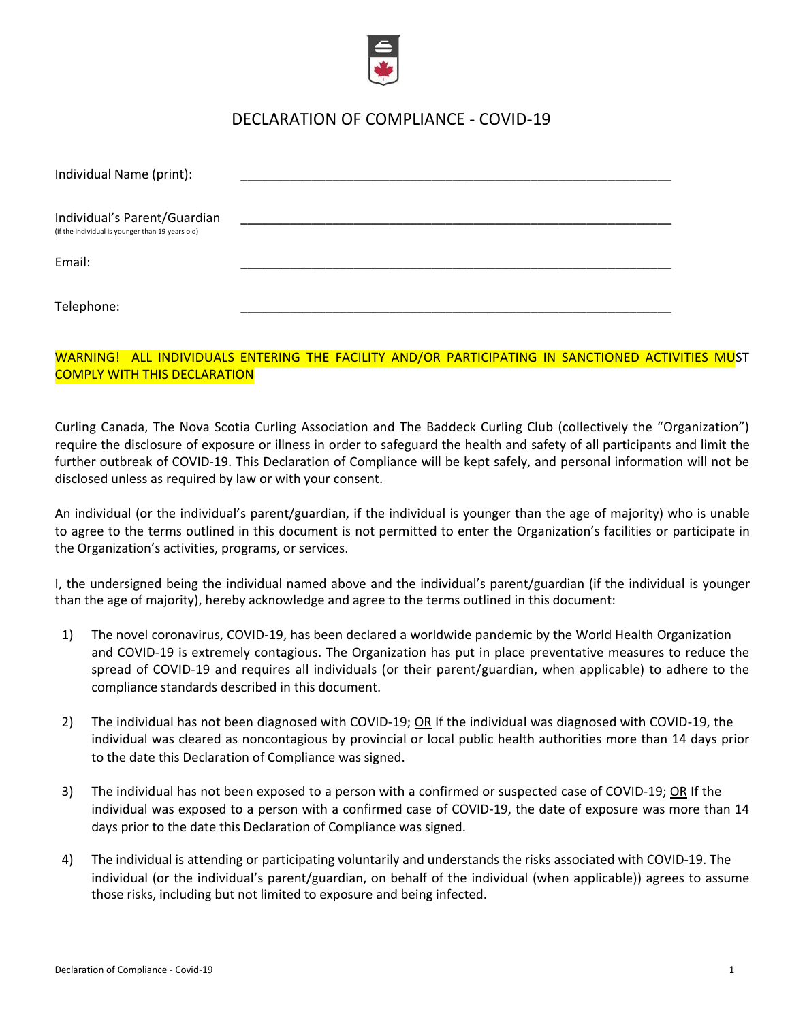

## DECLARATION OF COMPLIANCE - COVID-19

| Individual Name (print):                                                         |  |
|----------------------------------------------------------------------------------|--|
| Individual's Parent/Guardian<br>(if the individual is younger than 19 years old) |  |
| Email:                                                                           |  |
| Telephone:                                                                       |  |

## WARNING! ALL INDIVIDUALS ENTERING THE FACILITY AND/OR PARTICIPATING IN SANCTIONED ACTIVITIES MUST COMPLY WITH THIS DECLARATION

Curling Canada, The Nova Scotia Curling Association and The Baddeck Curling Club (collectively the "Organization") require the disclosure of exposure or illness in order to safeguard the health and safety of all participants and limit the further outbreak of COVID-19. This Declaration of Compliance will be kept safely, and personal information will not be disclosed unless as required by law or with your consent.

An individual (or the individual's parent/guardian, if the individual is younger than the age of majority) who is unable to agree to the terms outlined in this document is not permitted to enter the Organization's facilities or participate in the Organization's activities, programs, or services.

I, the undersigned being the individual named above and the individual's parent/guardian (if the individual is younger than the age of majority), hereby acknowledge and agree to the terms outlined in this document:

- 1) The novel coronavirus, COVID-19, has been declared a worldwide pandemic by the World Health Organization and COVID-19 is extremely contagious. The Organization has put in place preventative measures to reduce the spread of COVID-19 and requires all individuals (or their parent/guardian, when applicable) to adhere to the compliance standards described in this document.
- 2) The individual has not been diagnosed with COVID-19; OR If the individual was diagnosed with COVID-19, the individual was cleared as noncontagious by provincial or local public health authorities more than 14 days prior to the date this Declaration of Compliance was signed.
- 3) The individual has not been exposed to a person with a confirmed or suspected case of COVID-19; OR If the individual was exposed to a person with a confirmed case of COVID-19, the date of exposure was more than 14 days prior to the date this Declaration of Compliance was signed.
- 4) The individual is attending or participating voluntarily and understands the risksassociated with COVID-19. The individual (or the individual's parent/guardian, on behalf of the individual (when applicable)) agrees to assume those risks, including but not limited to exposure and being infected.